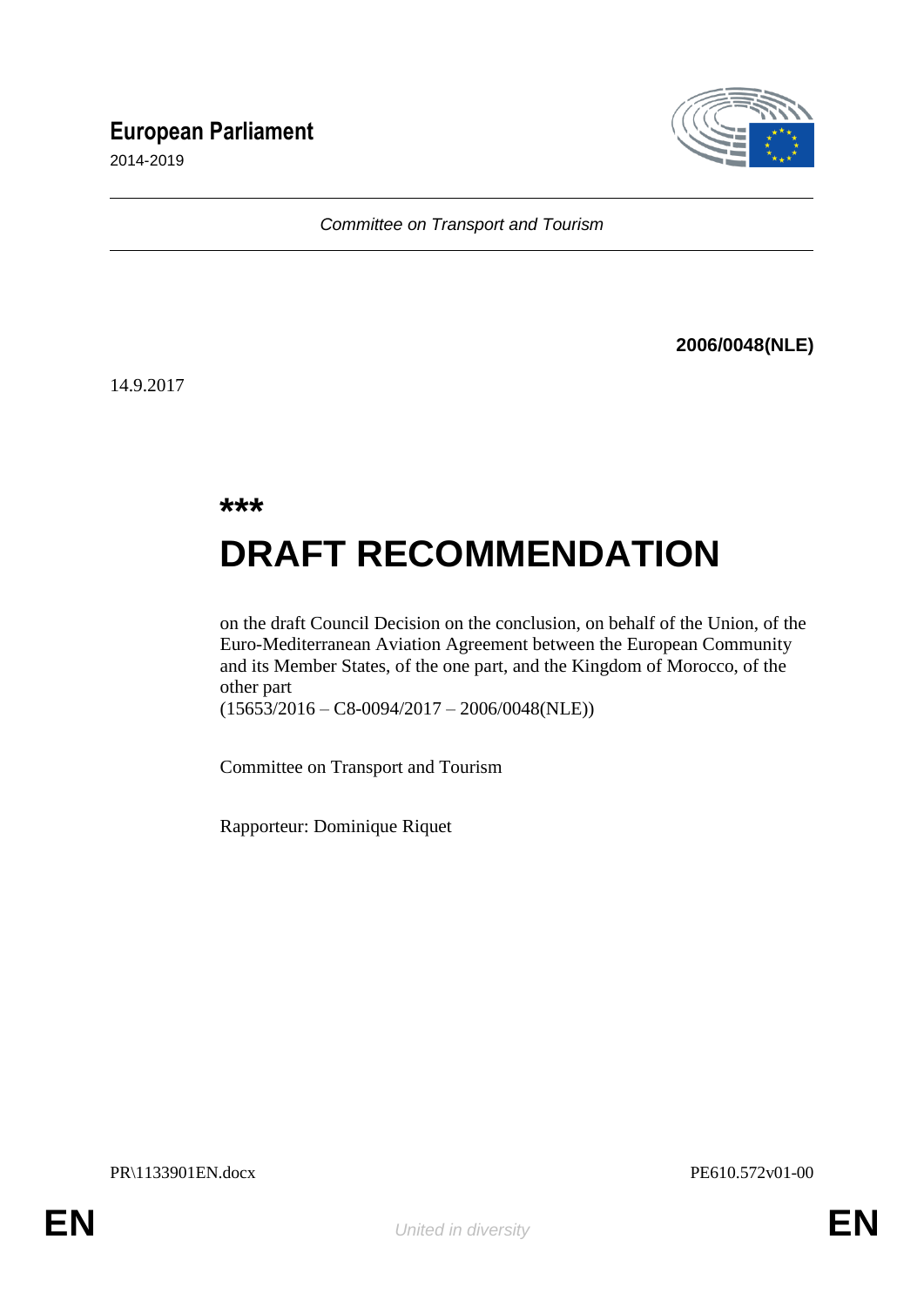# **European Parliament**

2014-2019



*Committee on Transport and Tourism*

**2006/0048(NLE)**

14.9.2017

**\*\*\***

# **DRAFT RECOMMENDATION**

on the draft Council Decision on the conclusion, on behalf of the Union, of the Euro-Mediterranean Aviation Agreement between the European Community and its Member States, of the one part, and the Kingdom of Morocco, of the other part  $(15653/2016 - C8-0094/2017 - 2006/0048(NLE))$ 

Committee on Transport and Tourism

Rapporteur: Dominique Riquet

PR\1133901EN.docx PE610.572v01-00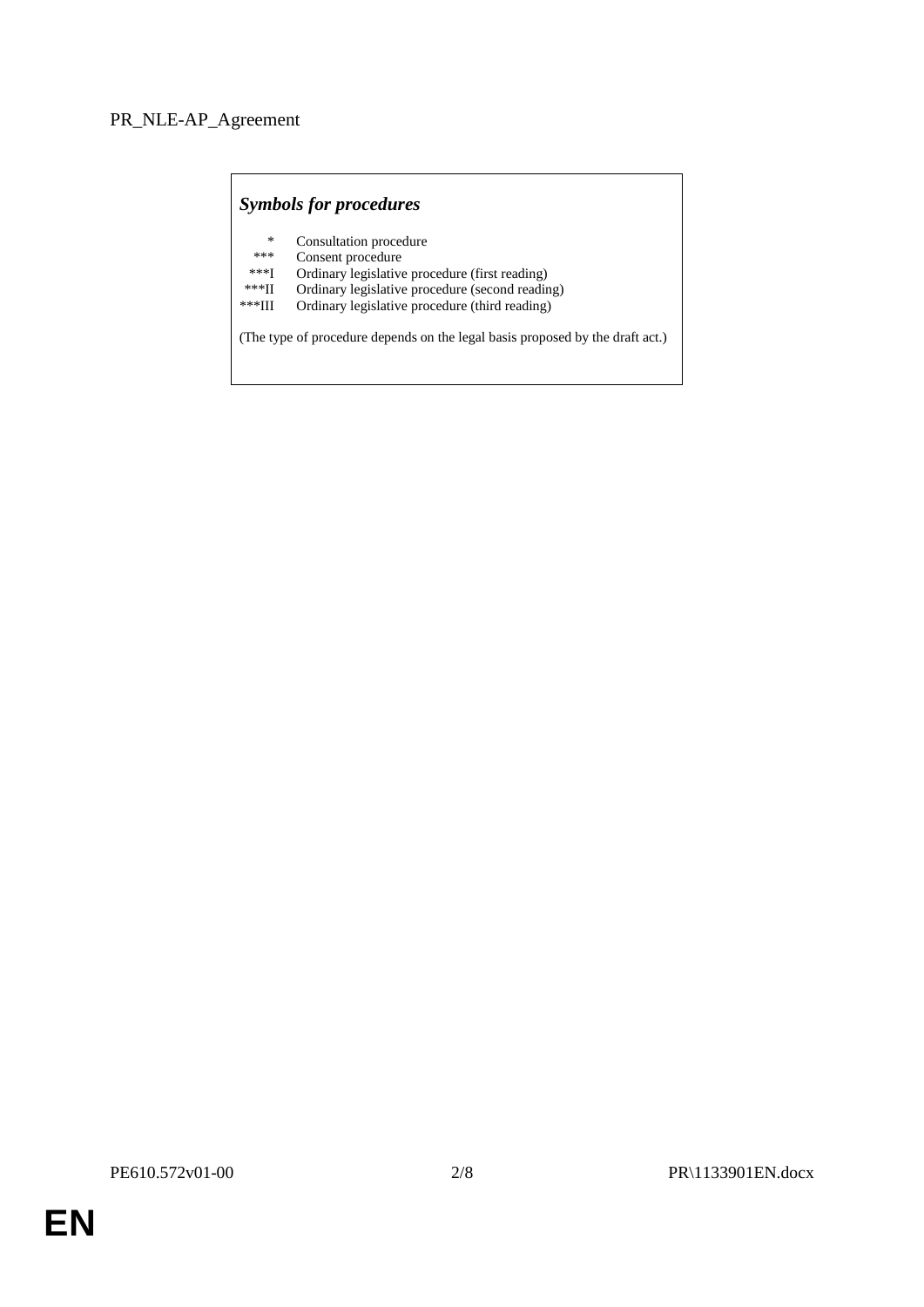# *Symbols for procedures*

- \* Consultation procedure
- Consent procedure
- \*\*\*I Ordinary legislative procedure (first reading)<br>\*\*\*II Ordinary legislative procedure (second reading)
- \*\*\*II Ordinary legislative procedure (second reading)
- Ordinary legislative procedure (third reading)

(The type of procedure depends on the legal basis proposed by the draft act.)

**EN**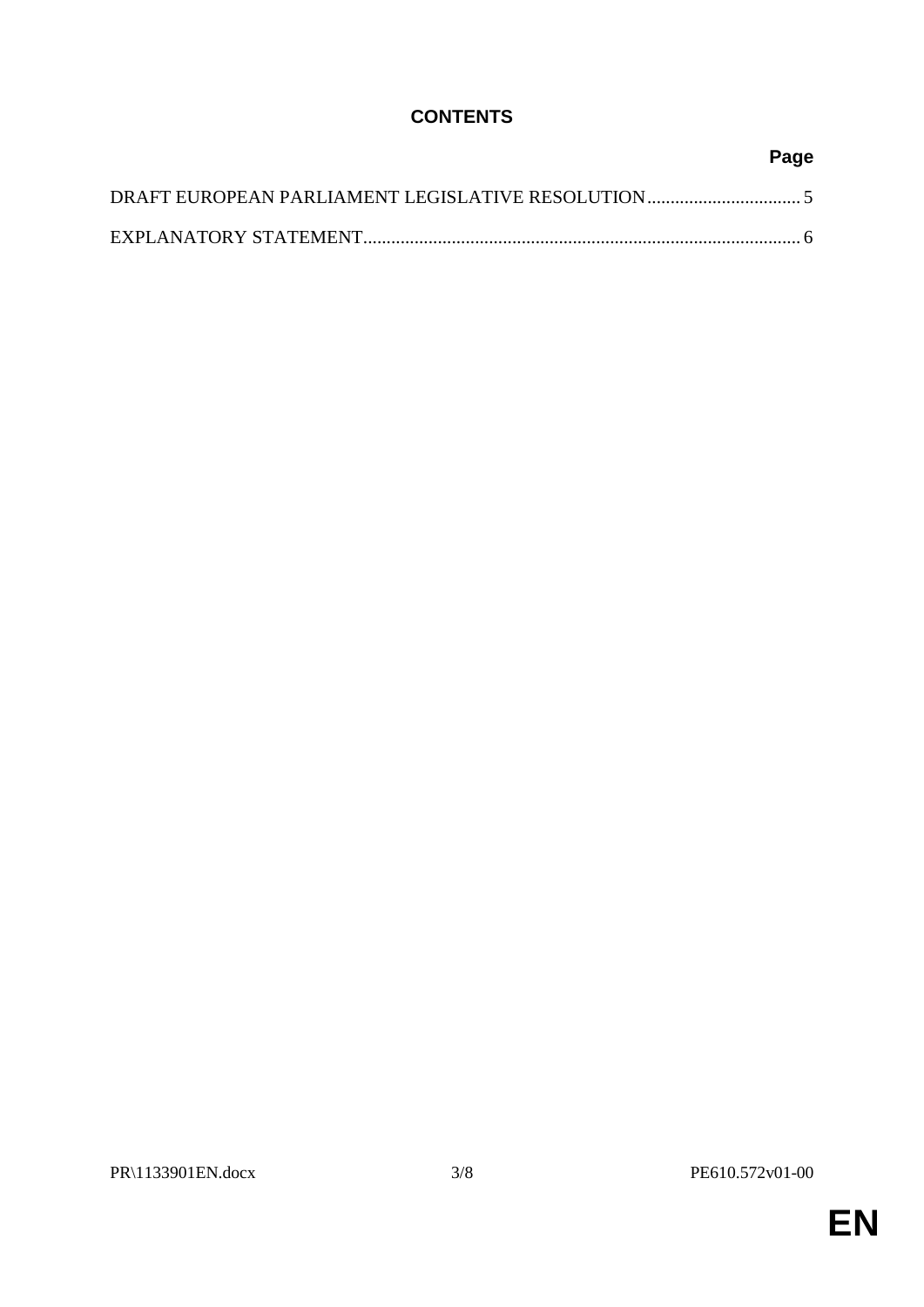# **CONTENTS**

# **Page** DRAFT EUROPEAN PARLIAMENT LEGISLATIVE RESOLUTION................................. 5 EXPLANATORY STATEMENT.............................................................................................. 6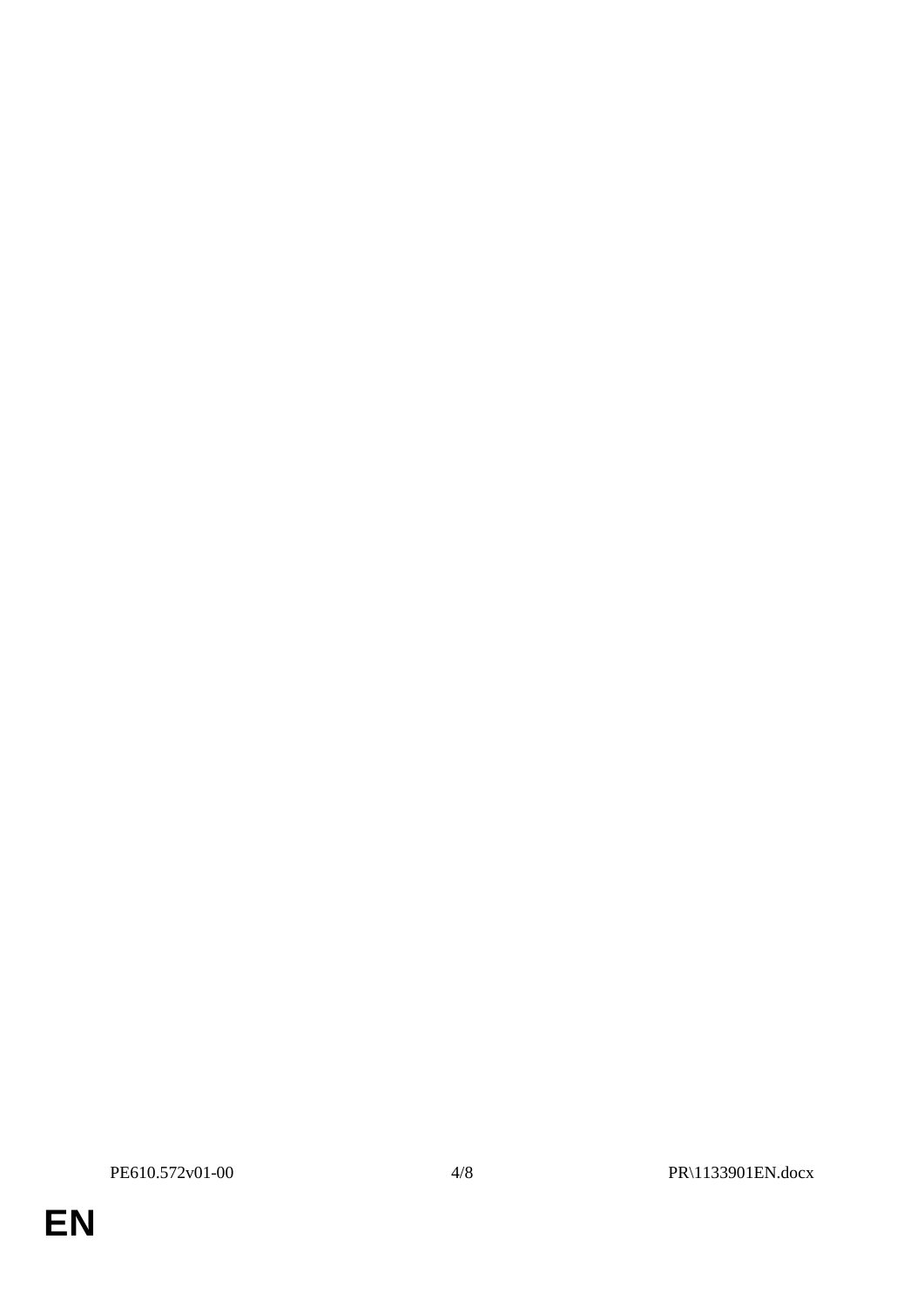PE610.572v01 -00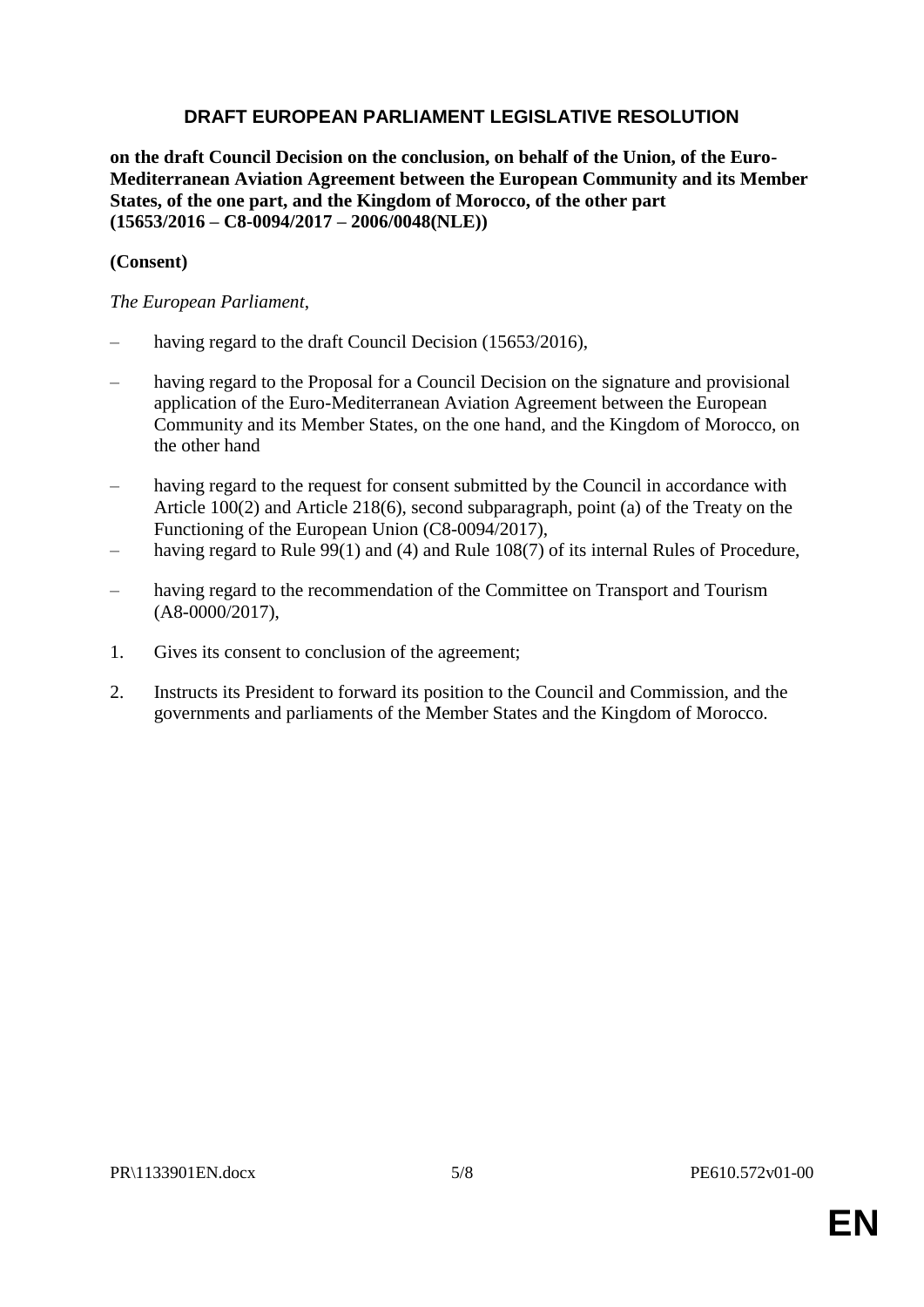## **DRAFT EUROPEAN PARLIAMENT LEGISLATIVE RESOLUTION**

**on the draft Council Decision on the conclusion, on behalf of the Union, of the Euro-Mediterranean Aviation Agreement between the European Community and its Member States, of the one part, and the Kingdom of Morocco, of the other part (15653/2016 – C8-0094/2017 – 2006/0048(NLE))**

### **(Consent)**

*The European Parliament*,

- having regard to the draft Council Decision (15653/2016),
- having regard to the Proposal for a Council Decision on the signature and provisional application of the Euro-Mediterranean Aviation Agreement between the European Community and its Member States, on the one hand, and the Kingdom of Morocco, on the other hand
- having regard to the request for consent submitted by the Council in accordance with Article 100(2) and Article 218(6), second subparagraph, point (a) of the Treaty on the Functioning of the European Union (C8-0094/2017),
- having regard to Rule 99(1) and (4) and Rule 108(7) of its internal Rules of Procedure,
- having regard to the recommendation of the Committee on Transport and Tourism (A8-0000/2017),
- 1. Gives its consent to conclusion of the agreement;
- 2. Instructs its President to forward its position to the Council and Commission, and the governments and parliaments of the Member States and the Kingdom of Morocco.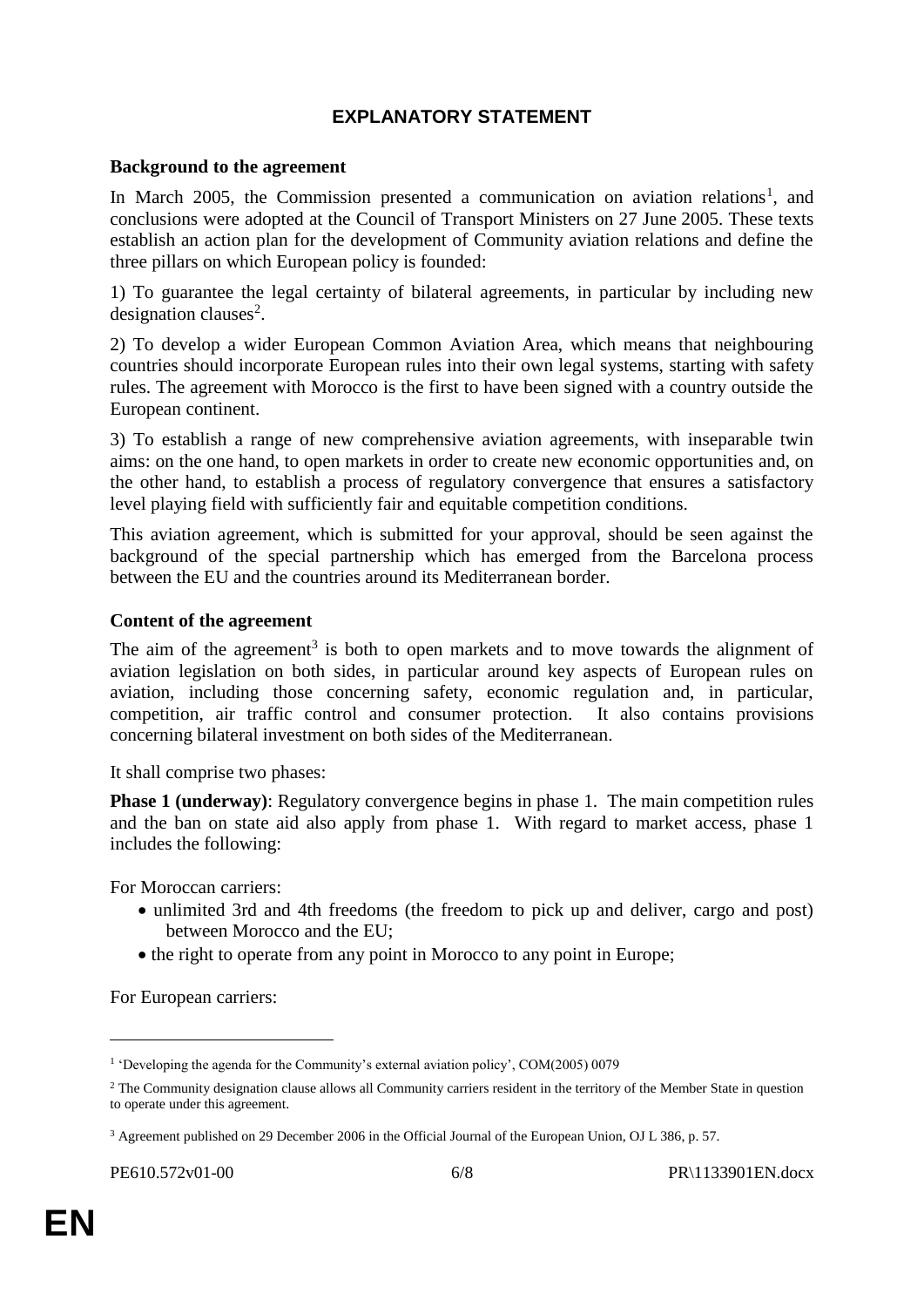# **EXPLANATORY STATEMENT**

#### **Background to the agreement**

In March 2005, the Commission presented a communication on aviation relations<sup>1</sup>, and conclusions were adopted at the Council of Transport Ministers on 27 June 2005. These texts establish an action plan for the development of Community aviation relations and define the three pillars on which European policy is founded:

1) To guarantee the legal certainty of bilateral agreements, in particular by including new designation clauses<sup>2</sup>.

2) To develop a wider European Common Aviation Area, which means that neighbouring countries should incorporate European rules into their own legal systems, starting with safety rules. The agreement with Morocco is the first to have been signed with a country outside the European continent.

3) To establish a range of new comprehensive aviation agreements, with inseparable twin aims: on the one hand, to open markets in order to create new economic opportunities and, on the other hand, to establish a process of regulatory convergence that ensures a satisfactory level playing field with sufficiently fair and equitable competition conditions.

This aviation agreement, which is submitted for your approval, should be seen against the background of the special partnership which has emerged from the Barcelona process between the EU and the countries around its Mediterranean border.

#### **Content of the agreement**

The aim of the agreement<sup>3</sup> is both to open markets and to move towards the alignment of aviation legislation on both sides, in particular around key aspects of European rules on aviation, including those concerning safety, economic regulation and, in particular, competition, air traffic control and consumer protection. It also contains provisions concerning bilateral investment on both sides of the Mediterranean.

It shall comprise two phases:

**Phase 1 (underway)**: Regulatory convergence begins in phase 1. The main competition rules and the ban on state aid also apply from phase 1. With regard to market access, phase 1 includes the following:

For Moroccan carriers:

- unlimited 3rd and 4th freedoms (the freedom to pick up and deliver, cargo and post) between Morocco and the EU;
- the right to operate from any point in Morocco to any point in Europe;

For European carriers:

 $\overline{a}$ 

<sup>&</sup>lt;sup>1</sup> 'Developing the agenda for the Community's external aviation policy', COM(2005) 0079

<sup>&</sup>lt;sup>2</sup> The Community designation clause allows all Community carriers resident in the territory of the Member State in question to operate under this agreement.

<sup>3</sup> Agreement published on 29 December 2006 in the Official Journal of the European Union, OJ L 386, p. 57.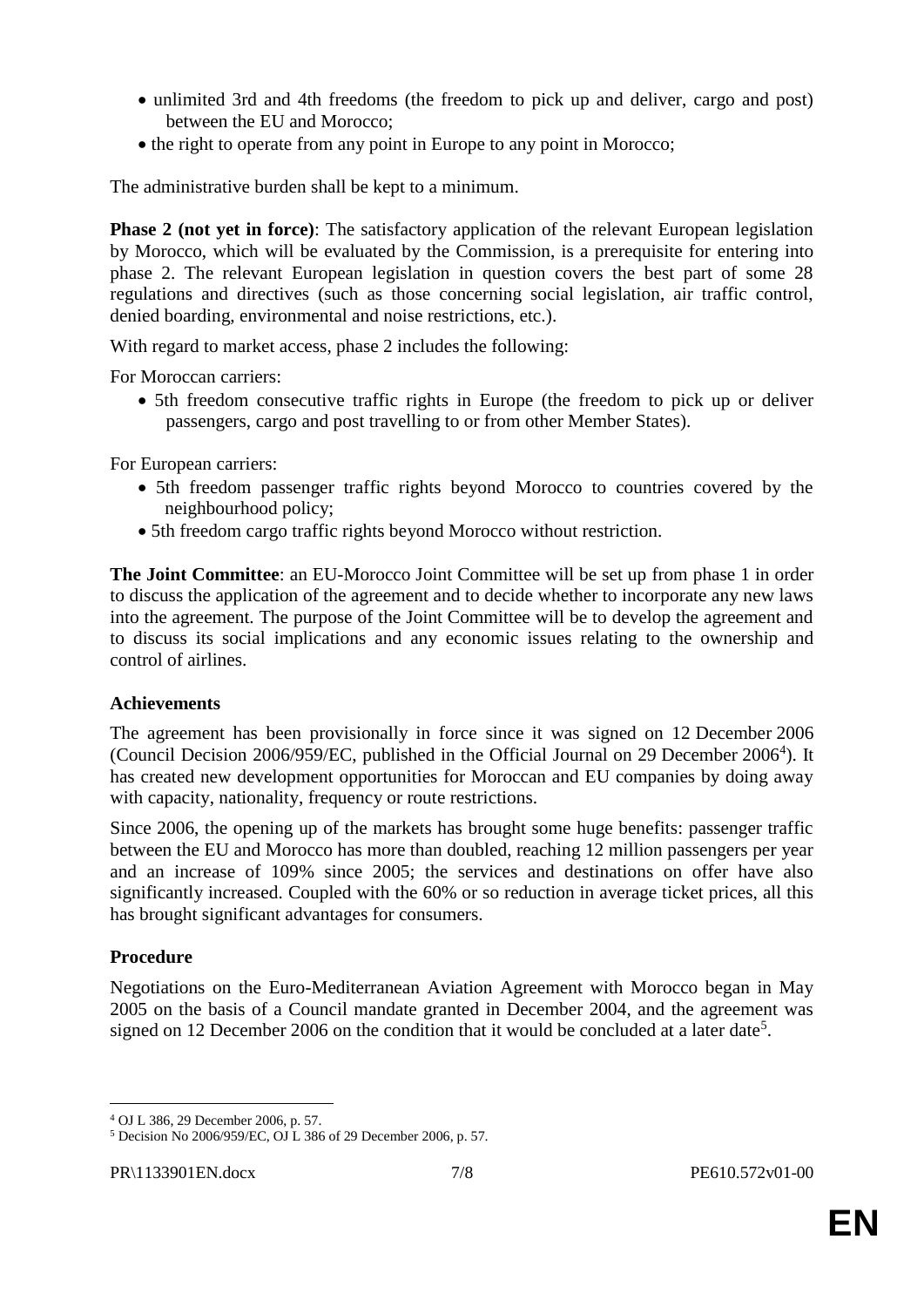- unlimited 3rd and 4th freedoms (the freedom to pick up and deliver, cargo and post) between the EU and Morocco;
- the right to operate from any point in Europe to any point in Morocco;

The administrative burden shall be kept to a minimum.

**Phase 2 (not yet in force)**: The satisfactory application of the relevant European legislation by Morocco, which will be evaluated by the Commission, is a prerequisite for entering into phase 2. The relevant European legislation in question covers the best part of some 28 regulations and directives (such as those concerning social legislation, air traffic control, denied boarding, environmental and noise restrictions, etc.).

With regard to market access, phase 2 includes the following:

For Moroccan carriers:

 5th freedom consecutive traffic rights in Europe (the freedom to pick up or deliver passengers, cargo and post travelling to or from other Member States).

For European carriers:

- 5th freedom passenger traffic rights beyond Morocco to countries covered by the neighbourhood policy;
- 5th freedom cargo traffic rights beyond Morocco without restriction.

**The Joint Committee**: an EU-Morocco Joint Committee will be set up from phase 1 in order to discuss the application of the agreement and to decide whether to incorporate any new laws into the agreement. The purpose of the Joint Committee will be to develop the agreement and to discuss its social implications and any economic issues relating to the ownership and control of airlines.

#### **Achievements**

The agreement has been provisionally in force since it was signed on 12 December 2006 (Council Decision 2006/959/EC, published in the Official Journal on 29 December 2006<sup>4</sup>). It has created new development opportunities for Moroccan and EU companies by doing away with capacity, nationality, frequency or route restrictions.

Since 2006, the opening up of the markets has brought some huge benefits: passenger traffic between the EU and Morocco has more than doubled, reaching 12 million passengers per year and an increase of 109% since 2005; the services and destinations on offer have also significantly increased. Coupled with the 60% or so reduction in average ticket prices, all this has brought significant advantages for consumers.

#### **Procedure**

 $\overline{a}$ 

Negotiations on the Euro-Mediterranean Aviation Agreement with Morocco began in May 2005 on the basis of a Council mandate granted in December 2004, and the agreement was signed on 12 December 2006 on the condition that it would be concluded at a later date<sup>5</sup>.

<sup>4</sup> OJ L 386, 29 December 2006, p. 57.

<sup>5</sup> Decision No 2006/959/EC, OJ L 386 of 29 December 2006, p. 57.